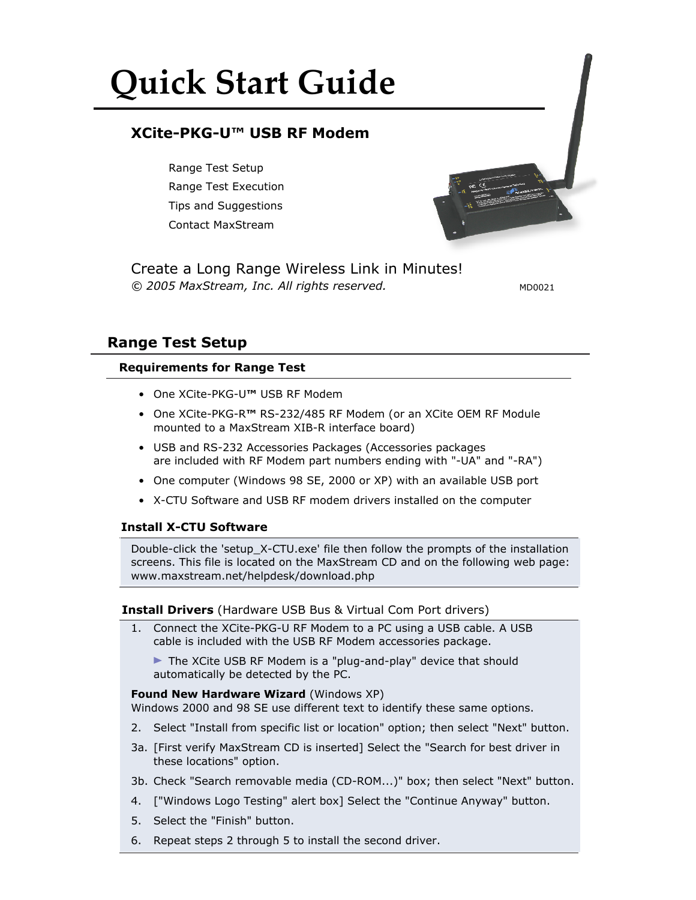# **Quick Start Guide**

# **XCite-PKG-U™ USB RF Modem**

Range Test Setup Range Test Execution Tips and Suggestions Contact MaxStream



*© 2005 MaxStream, Inc. All rights reserved.* Create a Long Range Wireless Link in Minutes!

MD0021

# **Range Test Setup**

# **Requirements for Range Test**

- • One XCite-PKG-U**™** USB RF Modem
- • One XCite-PKG-R**™** RS-232/485 RF Modem (or an XCite OEM RF Module mounted to a MaxStream XIB-R interface board)
- USB and RS-232 Accessories Packages (Accessories packages are included with RF Modem part numbers ending with "-UA" and "-RA")
- One computer (Windows 98 SE, 2000 or XP) with an available USB port
- • X-CTU Software and USB RF modem drivers installed on the computer

## **Install X-CTU Software**

Double-click the 'setup\_X-CTU.exe' file then follow the prompts of the installation screens. This file is located on the MaxStream CD and on the following web page: www.maxstream.net/helpdesk/download.php

## **Install Drivers** (Hardware USB Bus & Virtual Com Port drivers)

1. Connect the XCite-PKG-U RF Modem to a PC using a USB cable. A USB cable is included with the USB RF Modem accessories package.

▶ The XCite USB RF Modem is a "plug-and-play" device that should automatically be detected by the PC.

## **Found New Hardware Wizard** (Windows XP)

Windows 2000 and 98 SE use different text to identify these same options.

- 2. Select "Install from specific list or location" option; then select "Next" button.
- 3a. [First verify MaxStream CD is inserted] Select the "Search for best driver in these locations" option.
- 3b. Check "Search removable media (CD-ROM...)" box; then select "Next" button.
- 4. ["Windows Logo Testing" alert box] Select the "Continue Anyway" button.
- 5. Select the "Finish" button.
- 6. Repeat steps 2 through 5 to install the second driver.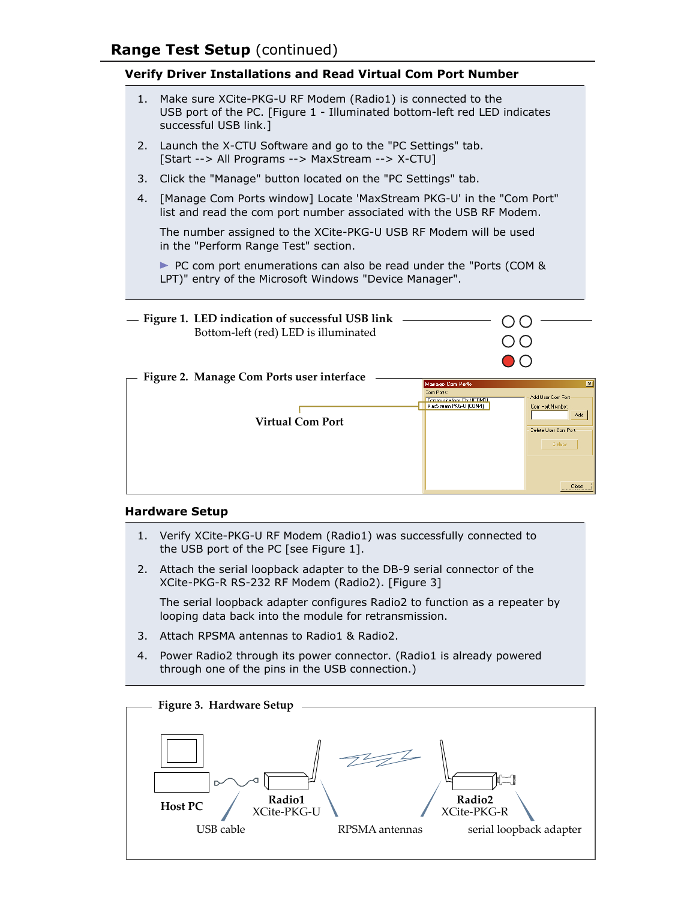# **Verify Driver Installations and Read Virtual Com Port Number**

- 1. Make sure XCite-PKG-U RF Modem (Radio1) is connected to the USB port of the PC. [Figure 1 - Illuminated bottom-left red LED indicates successful USB link.]
- 2. Launch the X-CTU Software and go to the "PC Settings" tab. [Start --> All Programs --> MaxStream --> X-CTU]
- 3. Click the "Manage" button located on the "PC Settings" tab.
- 4. [Manage Com Ports window] Locate 'MaxStream PKG-U' in the "Com Port" list and read the com port number associated with the USB RF Modem.

 The number assigned to the XCite-PKG-U USB RF Modem will be used in the "Perform Range Test" section.

PC com port enumerations can also be read under the "Ports (COM & LPT)" entry of the Microsoft Windows "Device Manager".



#### **Hardware Setup**

- 1. Verify XCite-PKG-U RF Modem (Radio1) was successfully connected to the USB port of the PC [see Figure 1].
- 2. Attach the serial loopback adapter to the DB-9 serial connector of the XCite-PKG-R RS-232 RF Modem (Radio2). [Figure 3]

 The serial loopback adapter configures Radio2 to function as a repeater by looping data back into the module for retransmission.

- 3. Attach RPSMA antennas to Radio1 & Radio2.
- 4. Power Radio2 through its power connector. (Radio1 is already powered through one of the pins in the USB connection.)

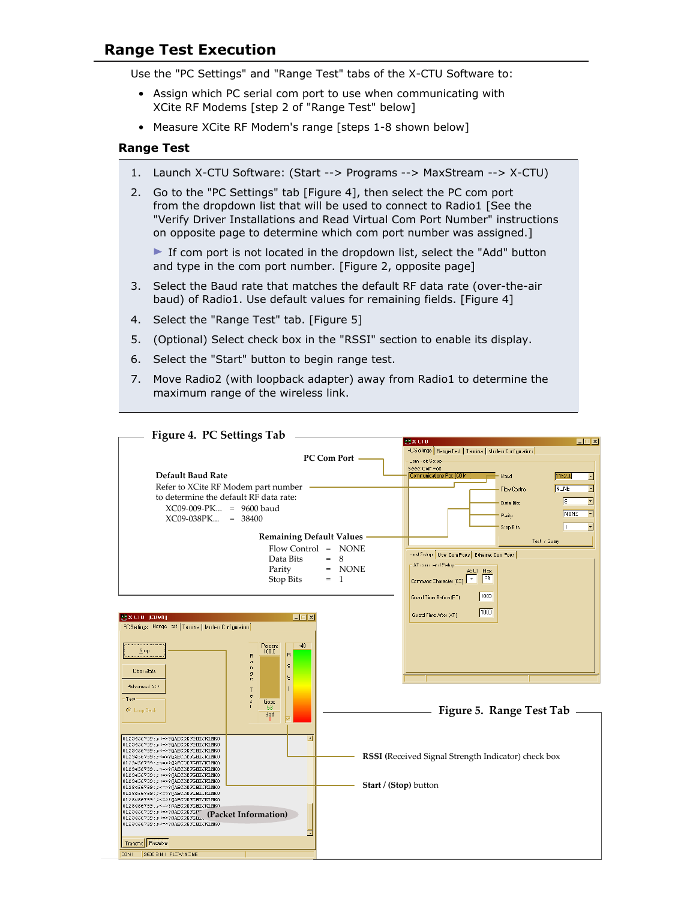# **Range Test Execution**

Use the "PC Settings" and "Range Test" tabs of the X-CTU Software to:

- Assign which PC serial com port to use when communicating with XCite RF Modems [step 2 of "Range Test" below]
- Measure XCite RF Modem's range [steps 1-8 shown below]

#### **Range Test**

- 1. Launch X-CTU Software: (Start --> Programs --> MaxStream --> X-CTU)
- 2. Go to the "PC Settings" tab [Figure 4], then select the PC com port from the dropdown list that will be used to connect to Radio1 [See the "Verify Driver Installations and Read Virtual Com Port Number" instructions on opposite page to determine which com port number was assigned.]

 If com port is not located in the dropdown list, select the "Add" button and type in the com port number. [Figure 2, opposite page]

- 3. Select the Baud rate that matches the default RF data rate (over-the-air baud) of Radio1. Use default values for remaining fields. [Figure 4]
- 4. Select the "Range Test" tab. [Figure 5]
- 5. (Optional) Select check box in the "RSSI" section to enable its display.
- 6. Select the "Start" button to begin range test.
- 7. Move Radio2 (with loopback adapter) away from Radio1 to determine the maximum range of the wireless link.

| Figure 4. PC Settings Tab                                                              |                                                          |
|----------------------------------------------------------------------------------------|----------------------------------------------------------|
|                                                                                        | <b>MXCIU</b><br>$\Box$                                   |
|                                                                                        | -USotlings   Bange Test   Tenrina   Micleo Configuration |
| PC Com Port                                                                            | Lom Hort Sictup-                                         |
|                                                                                        | Seec: Com Fort                                           |
| Default Baud Rate                                                                      | Communications Port (COM<br>1152JJ<br>Boud<br>E          |
| Refer to XCite RF Modem part number                                                    | <b>NLNE</b><br>E<br>Flow Control                         |
| to determine the default RF data rate:                                                 | ÷<br>Iε.                                                 |
| $XCO9-009-PK = 9600$ baud                                                              | Data Bits                                                |
| XC09-038PK<br>$= 38400$                                                                | NONE<br>Pale                                             |
|                                                                                        | Stop Bits                                                |
| <b>Remaining Default Values</b>                                                        |                                                          |
|                                                                                        | Test / Suay                                              |
| Flow Control = NONE                                                                    | Hust Sellin   User Com Ports   Etherne: Com Forts        |
| 8<br>Data Bits<br>$=$                                                                  | : AT commer d'Setop                                      |
| Parity<br>$=$ NONE                                                                     | ASUT Hos                                                 |
| Stop Bits<br>$= 1$                                                                     | 7R<br>Command Ehalacter (CE)                             |
|                                                                                        |                                                          |
|                                                                                        | 1000<br>Guard Time Refrie (FT)                           |
|                                                                                        | 100                                                      |
| <b>LEX</b><br><b>EXCIU JUDNIT</b>                                                      | Guard Time After (AT)                                    |
| FC Sellings   Range   pst   Temina   Ikm Fri Cirif guiation                            |                                                          |
|                                                                                        |                                                          |
| $-40$<br>Peicen:                                                                       |                                                          |
| 2.99<br>TCO.C<br>R.<br>R                                                               |                                                          |
| $\mathbf{d}$<br>s<br>n                                                                 |                                                          |
| <b>Cloar State</b><br>$\mathfrak g$<br>Ğ.                                              |                                                          |
| Advinced >>>                                                                           |                                                          |
| c                                                                                      |                                                          |
| Tect<br>Good<br>$\Delta$                                                               |                                                          |
| -63<br><sup>6</sup> Lrop Back<br><b>Bad</b>                                            | Figure 5. Range Test Tab                                 |
| л                                                                                      |                                                          |
|                                                                                        |                                                          |
| 0120456709; ¿ <=> ?@AECOE7GHIJKINK0                                                    |                                                          |
| 0120456709;; <->?@AECOE7GHIJKINK0<br>0123456739; p<->?@AECDE7CHICKINK0                 |                                                          |
|                                                                                        | RSSI (Received Signal Strength Indicator) check box      |
| 012 S4 SE 7 BB 1 ; K = 2 ? @AE COE 3GBT/IKT YINO.<br>0123456739.JR->?RAECDEFGHICKLMK0  |                                                          |
| 0120456709; p <=> ?@AECOE7GHIJRINKO                                                    |                                                          |
| 0120456709; p <=> ?@AECOE7GIIEJKINKO<br>0123456739: p<->?@AECDE7CHICKINK0              | Start / (Stop) button                                    |
| UIZ34567B9: ;<=>?@aECDE3GHIUKLMAU                                                      |                                                          |
| 012 84 567 89 : 23 = 23 @ AE COE FOR TOKT WKO<br>0123456739. . <- > ? RAECOEFGHIJNINNO |                                                          |
| 0120456709; p <=> ?@AECOE7GUT<br>(Packet Information)                                  |                                                          |
| 0120456709; p <=> ?@AECDE7Ghi<br>0123456739: y<->?@AECDE7CHIJKIMK0                     |                                                          |
|                                                                                        |                                                          |
| Transnit Receive                                                                       |                                                          |
| 9600 B N T FLOW:NONE<br><b>COMI</b>                                                    |                                                          |
|                                                                                        |                                                          |